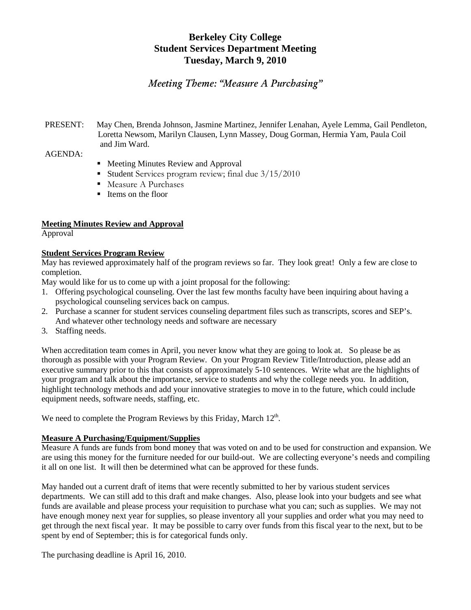# **Berkeley City College Student Services Department Meeting Tuesday, March 9, 2010**

# *Meeting Theme: "Measure A Purchasing"*

## PRESENT: May Chen, Brenda Johnson, Jasmine Martinez, Jennifer Lenahan, Ayele Lemma, Gail Pendleton, Loretta Newsom, Marilyn Clausen, Lynn Massey, Doug Gorman, Hermia Yam, Paula Coil and Jim Ward.

AGENDA:

- **Meeting Minutes Review and Approval**
- Student Services program review; final due  $3/15/2010$
- Measure A Purchases
- Items on the floor

# **Meeting Minutes Review and Approval**

Approval

#### **Student Services Program Review**

May has reviewed approximately half of the program reviews so far. They look great! Only a few are close to completion.

May would like for us to come up with a joint proposal for the following:

- 1. Offering psychological counseling. Over the last few months faculty have been inquiring about having a psychological counseling services back on campus.
- 2. Purchase a scanner for student services counseling department files such as transcripts, scores and SEP's. And whatever other technology needs and software are necessary
- 3. Staffing needs.

When accreditation team comes in April, you never know what they are going to look at. So please be as thorough as possible with your Program Review. On your Program Review Title/Introduction, please add an executive summary prior to this that consists of approximately 5-10 sentences. Write what are the highlights of your program and talk about the importance, service to students and why the college needs you. In addition, highlight technology methods and add your innovative strategies to move in to the future, which could include equipment needs, software needs, staffing, etc.

We need to complete the Program Reviews by this Friday, March 12<sup>th</sup>.

### **Measure A Purchasing/Equipment/Supplies**

Measure A funds are funds from bond money that was voted on and to be used for construction and expansion. We are using this money for the furniture needed for our build-out. We are collecting everyone's needs and compiling it all on one list. It will then be determined what can be approved for these funds.

May handed out a current draft of items that were recently submitted to her by various student services departments. We can still add to this draft and make changes. Also, please look into your budgets and see what funds are available and please process your requisition to purchase what you can; such as supplies. We may not have enough money next year for supplies, so please inventory all your supplies and order what you may need to get through the next fiscal year. It may be possible to carry over funds from this fiscal year to the next, but to be spent by end of September; this is for categorical funds only.

The purchasing deadline is April 16, 2010.